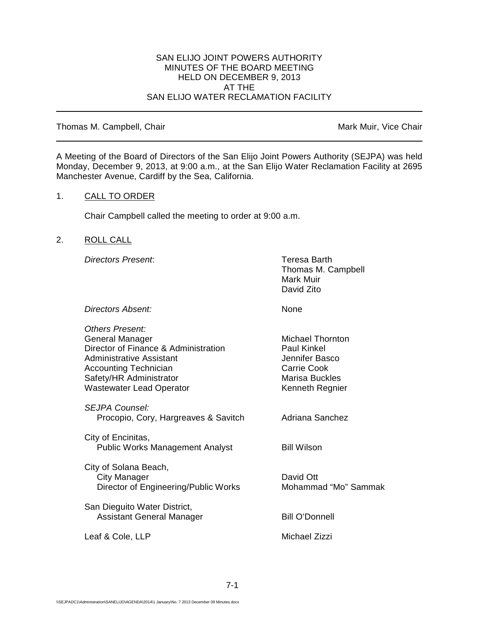### SAN ELIJO JOINT POWERS AUTHORITY MINUTES OF THE BOARD MEETING HELD ON DECEMBER 9, 2013 AT THE SAN ELIJO WATER RECLAMATION FACILITY

#### Thomas M. Campbell, Chair Mark Muir, Vice Chair Muir, Vice Chair

A Meeting of the Board of Directors of the San Elijo Joint Powers Authority (SEJPA) was held Monday, December 9, 2013, at 9:00 a.m., at the San Elijo Water Reclamation Facility at 2695 Manchester Avenue, Cardiff by the Sea, California.

## 1. CALL TO ORDER

Chair Campbell called the meeting to order at 9:00 a.m.

# 2. ROLL CALL

*Directors Present*: Teresa Barth

Thomas M. Campbell Mark Muir David Zito

*Directors Absent:* None

| <b>Others Present:</b>                                           |                                      |
|------------------------------------------------------------------|--------------------------------------|
| General Manager                                                  | Michael Thornton                     |
| Director of Finance & Administration<br>Administrative Assistant | <b>Paul Kinkel</b><br>Jennifer Basco |
| Accounting Technician                                            | <b>Carrie Cook</b>                   |
| Safety/HR Administrator                                          | Marisa Buckles                       |
| Wastewater Lead Operator                                         | Kenneth Regnier                      |
| SEJPA Counsel:                                                   |                                      |
| Procopio, Cory, Hargreaves & Savitch                             | Adriana Sanchez                      |
| City of Encinitas,                                               |                                      |
| <b>Public Works Management Analyst</b>                           | <b>Bill Wilson</b>                   |
| City of Solana Beach,                                            |                                      |
| City Manager                                                     | David Ott                            |
| Director of Engineering/Public Works                             | Mohammad "Mo" Sammak                 |
| San Dieguito Water District,                                     |                                      |
| <b>Assistant General Manager</b>                                 | <b>Bill O'Donnell</b>                |
| Leaf & Cole, LLP                                                 | Michael Zizzi                        |
|                                                                  |                                      |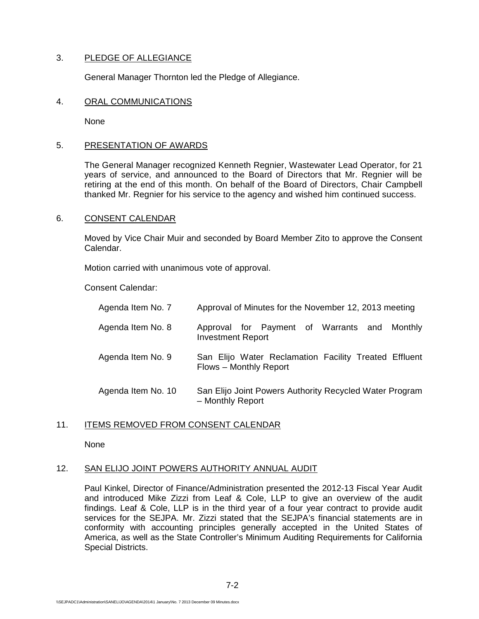# 3. PLEDGE OF ALLEGIANCE

General Manager Thornton led the Pledge of Allegiance.

#### 4. ORAL COMMUNICATIONS

None

## 5. PRESENTATION OF AWARDS

The General Manager recognized Kenneth Regnier, Wastewater Lead Operator, for 21 years of service, and announced to the Board of Directors that Mr. Regnier will be retiring at the end of this month. On behalf of the Board of Directors, Chair Campbell thanked Mr. Regnier for his service to the agency and wished him continued success.

## 6. CONSENT CALENDAR

Moved by Vice Chair Muir and seconded by Board Member Zito to approve the Consent Calendar.

Motion carried with unanimous vote of approval.

Consent Calendar:

| Agenda Item No. 7  | Approval of Minutes for the November 12, 2013 meeting                           |
|--------------------|---------------------------------------------------------------------------------|
| Agenda Item No. 8  | Approval for Payment of Warrants and<br>Monthly<br><b>Investment Report</b>     |
| Agenda Item No. 9  | San Elijo Water Reclamation Facility Treated Effluent<br>Flows - Monthly Report |
| Agenda Item No. 10 | San Elijo Joint Powers Authority Recycled Water Program<br>- Monthly Report     |

#### 11. ITEMS REMOVED FROM CONSENT CALENDAR

None

# 12. SAN ELIJO JOINT POWERS AUTHORITY ANNUAL AUDIT

Paul Kinkel, Director of Finance/Administration presented the 2012-13 Fiscal Year Audit and introduced Mike Zizzi from Leaf & Cole, LLP to give an overview of the audit findings. Leaf & Cole, LLP is in the third year of a four year contract to provide audit services for the SEJPA. Mr. Zizzi stated that the SEJPA's financial statements are in conformity with accounting principles generally accepted in the United States of America, as well as the State Controller's Minimum Auditing Requirements for California Special Districts.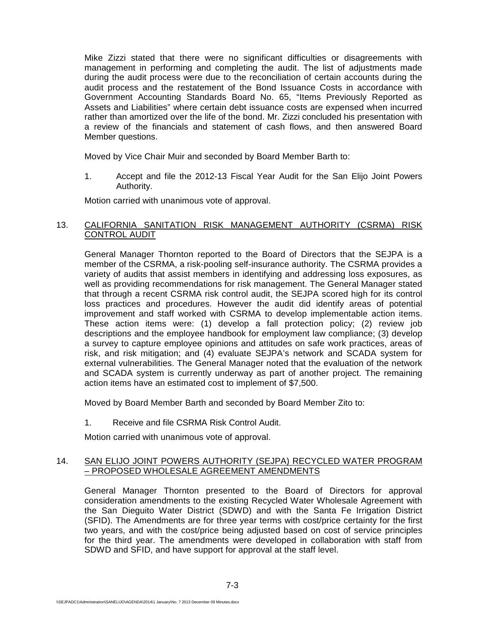Mike Zizzi stated that there were no significant difficulties or disagreements with management in performing and completing the audit. The list of adjustments made during the audit process were due to the reconciliation of certain accounts during the audit process and the restatement of the Bond Issuance Costs in accordance with Government Accounting Standards Board No. 65, "Items Previously Reported as Assets and Liabilities" where certain debt issuance costs are expensed when incurred rather than amortized over the life of the bond. Mr. Zizzi concluded his presentation with a review of the financials and statement of cash flows, and then answered Board Member questions.

Moved by Vice Chair Muir and seconded by Board Member Barth to:

1. Accept and file the 2012-13 Fiscal Year Audit for the San Elijo Joint Powers Authority.

Motion carried with unanimous vote of approval.

# 13. CALIFORNIA SANITATION RISK MANAGEMENT AUTHORITY (CSRMA) RISK CONTROL AUDIT

General Manager Thornton reported to the Board of Directors that the SEJPA is a member of the CSRMA, a risk-pooling self-insurance authority. The CSRMA provides a variety of audits that assist members in identifying and addressing loss exposures, as well as providing recommendations for risk management. The General Manager stated that through a recent CSRMA risk control audit, the SEJPA scored high for its control loss practices and procedures. However the audit did identify areas of potential improvement and staff worked with CSRMA to develop implementable action items. These action items were: (1) develop a fall protection policy; (2) review job descriptions and the employee handbook for employment law compliance; (3) develop a survey to capture employee opinions and attitudes on safe work practices, areas of risk, and risk mitigation; and (4) evaluate SEJPA's network and SCADA system for external vulnerabilities. The General Manager noted that the evaluation of the network and SCADA system is currently underway as part of another project. The remaining action items have an estimated cost to implement of \$7,500.

Moved by Board Member Barth and seconded by Board Member Zito to:

1. Receive and file CSRMA Risk Control Audit.

Motion carried with unanimous vote of approval.

### 14. SAN ELIJO JOINT POWERS AUTHORITY (SEJPA) RECYCLED WATER PROGRAM – PROPOSED WHOLESALE AGREEMENT AMENDMENTS

General Manager Thornton presented to the Board of Directors for approval consideration amendments to the existing Recycled Water Wholesale Agreement with the San Dieguito Water District (SDWD) and with the Santa Fe Irrigation District (SFID). The Amendments are for three year terms with cost/price certainty for the first two years, and with the cost/price being adjusted based on cost of service principles for the third year. The amendments were developed in collaboration with staff from SDWD and SFID, and have support for approval at the staff level.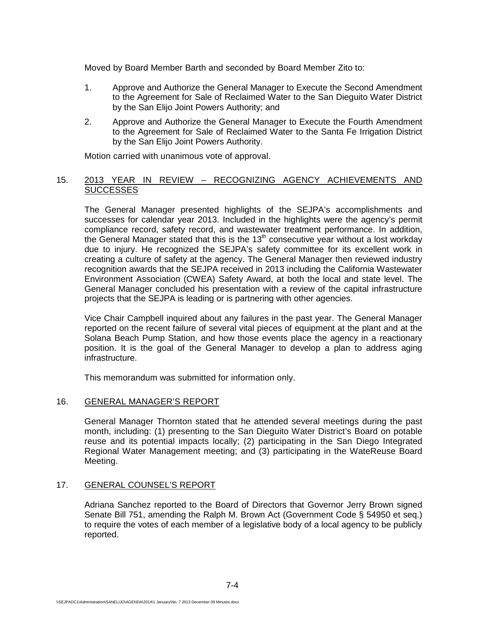Moved by Board Member Barth and seconded by Board Member Zito to:

- 1. Approve and Authorize the General Manager to Execute the Second Amendment to the Agreement for Sale of Reclaimed Water to the San Dieguito Water District by the San Elijo Joint Powers Authority; and
- 2. Approve and Authorize the General Manager to Execute the Fourth Amendment to the Agreement for Sale of Reclaimed Water to the Santa Fe Irrigation District by the San Elijo Joint Powers Authority.

Motion carried with unanimous vote of approval.

# 15. 2013 YEAR IN REVIEW – RECOGNIZING AGENCY ACHIEVEMENTS AND **SUCCESSES**

The General Manager presented highlights of the SEJPA's accomplishments and successes for calendar year 2013. Included in the highlights were the agency's permit compliance record, safety record, and wastewater treatment performance. In addition, the General Manager stated that this is the  $13<sup>th</sup>$  consecutive year without a lost workday due to injury. He recognized the SEJPA's safety committee for its excellent work in creating a culture of safety at the agency. The General Manager then reviewed industry recognition awards that the SEJPA received in 2013 including the California Wastewater Environment Association (CWEA) Safety Award, at both the local and state level. The General Manager concluded his presentation with a review of the capital infrastructure projects that the SEJPA is leading or is partnering with other agencies.

Vice Chair Campbell inquired about any failures in the past year. The General Manager reported on the recent failure of several vital pieces of equipment at the plant and at the Solana Beach Pump Station, and how those events place the agency in a reactionary position. It is the goal of the General Manager to develop a plan to address aging infrastructure.

This memorandum was submitted for information only.

# 16. GENERAL MANAGER'S REPORT

General Manager Thornton stated that he attended several meetings during the past month, including: (1) presenting to the San Dieguito Water District's Board on potable reuse and its potential impacts locally; (2) participating in the San Diego Integrated Regional Water Management meeting; and (3) participating in the WateReuse Board Meeting.

#### 17. GENERAL COUNSEL'S REPORT

Adriana Sanchez reported to the Board of Directors that Governor Jerry Brown signed Senate Bill 751, amending the Ralph M. Brown Act (Government Code § 54950 et seq.) to require the votes of each member of a legislative body of a local agency to be publicly reported.